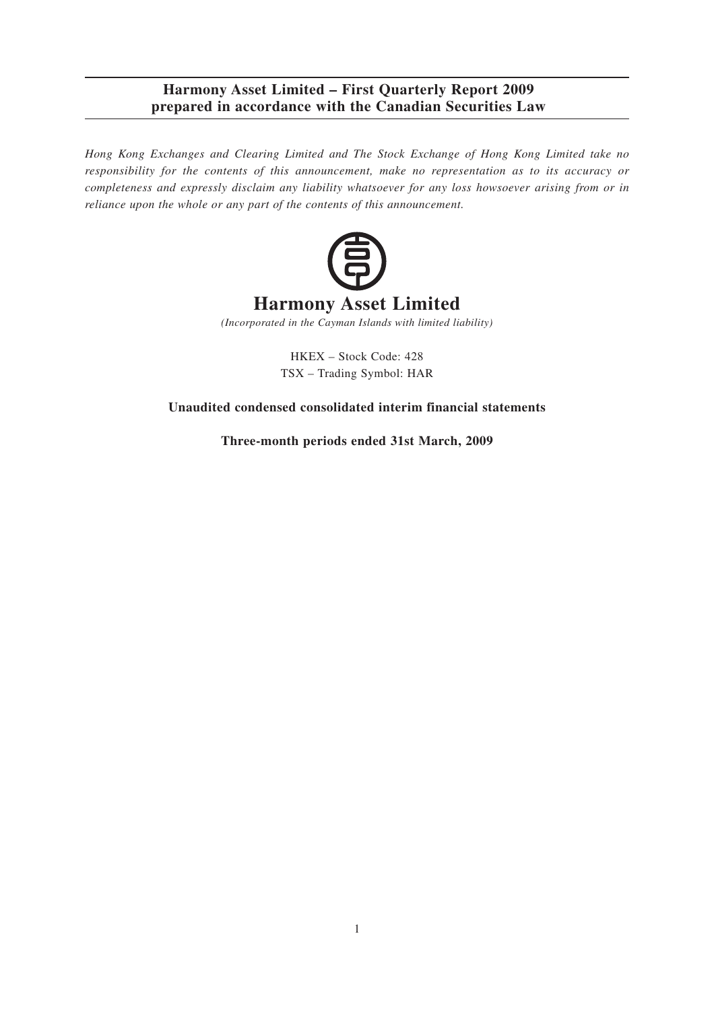*Hong Kong Exchanges and Clearing Limited and The Stock Exchange of Hong Kong Limited take no responsibility for the contents of this announcement, make no representation as to its accuracy or completeness and expressly disclaim any liability whatsoever for any loss howsoever arising from or in reliance upon the whole or any part of the contents of this announcement.*



*(Incorporated in the Cayman Islands with limited liability)*

HKEX – Stock Code: 428 TSX – Trading Symbol: HAR

**Unaudited condensed consolidated interim financial statements**

**Three-month periods ended 31st March, 2009**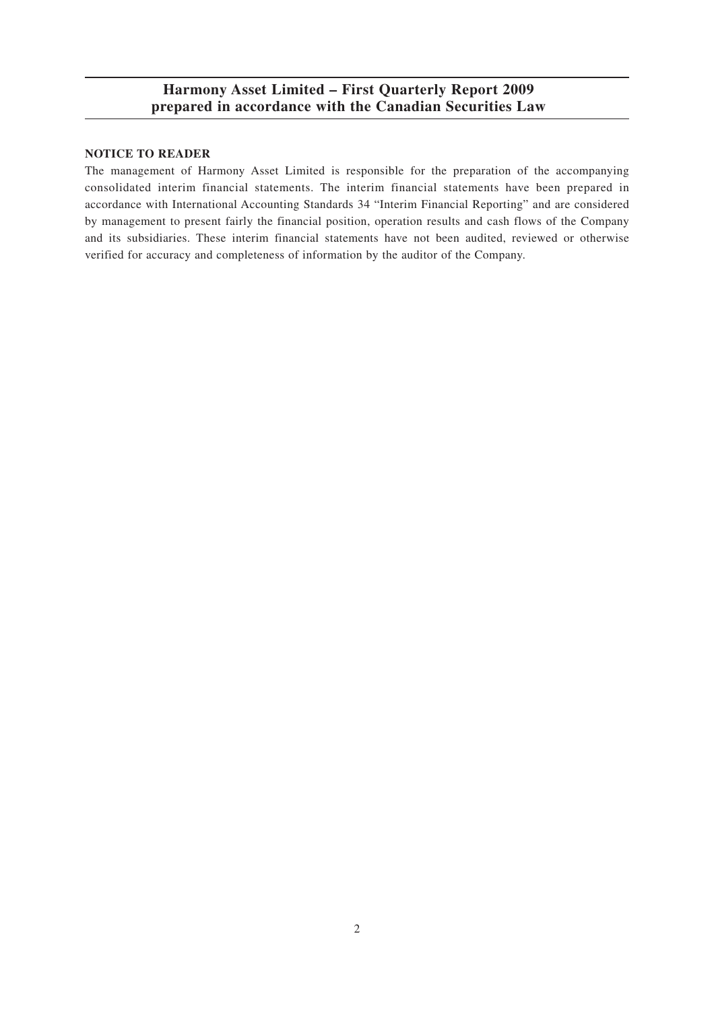### **NOTICE TO READER**

The management of Harmony Asset Limited is responsible for the preparation of the accompanying consolidated interim financial statements. The interim financial statements have been prepared in accordance with International Accounting Standards 34 "Interim Financial Reporting" and are considered by management to present fairly the financial position, operation results and cash flows of the Company and its subsidiaries. These interim financial statements have not been audited, reviewed or otherwise verified for accuracy and completeness of information by the auditor of the Company.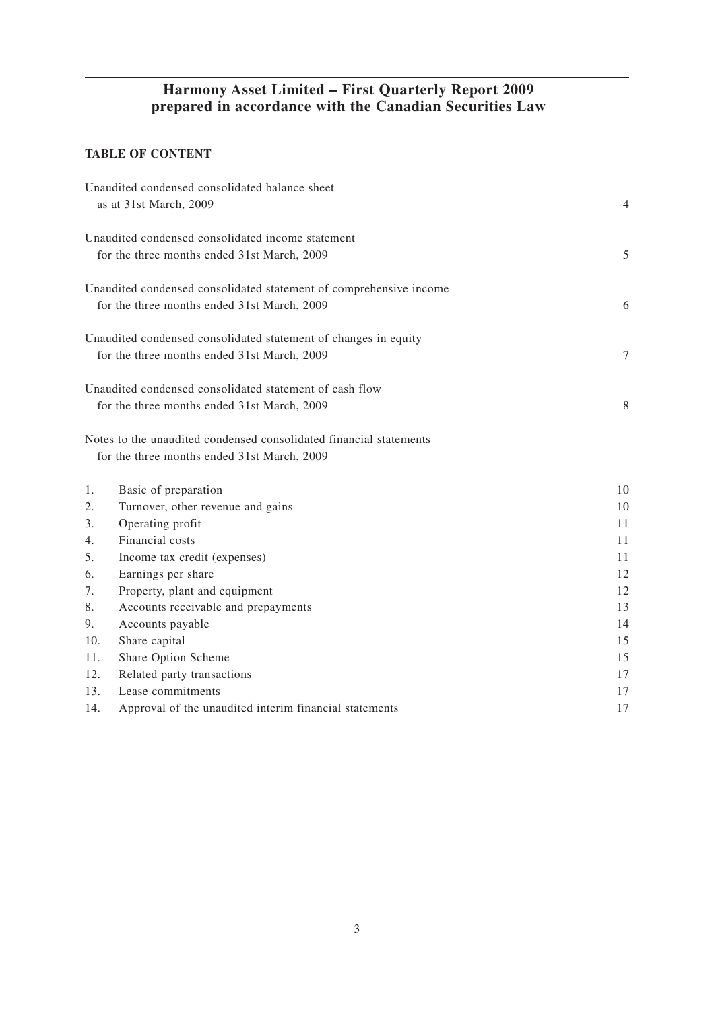## **TABLE OF CONTENT**

|     | Unaudited condensed consolidated balance sheet<br>as at 31st March, 2009                                          | $\overline{4}$ |
|-----|-------------------------------------------------------------------------------------------------------------------|----------------|
|     | Unaudited condensed consolidated income statement<br>for the three months ended 31st March, 2009                  | 5              |
|     | Unaudited condensed consolidated statement of comprehensive income<br>for the three months ended 31st March, 2009 | 6              |
|     | Unaudited condensed consolidated statement of changes in equity<br>for the three months ended 31st March, 2009    | 7              |
|     | Unaudited condensed consolidated statement of cash flow                                                           |                |
|     | for the three months ended 31st March, 2009                                                                       | 8              |
|     | Notes to the unaudited condensed consolidated financial statements<br>for the three months ended 31st March, 2009 |                |
| 1.  | Basic of preparation                                                                                              | 10             |
| 2.  | Turnover, other revenue and gains                                                                                 | 10             |
| 3.  | Operating profit                                                                                                  | 11             |
| 4.  | Financial costs                                                                                                   | 11             |
| 5.  | Income tax credit (expenses)                                                                                      | 11             |
| 6.  | Earnings per share                                                                                                | 12             |
| 7.  | Property, plant and equipment                                                                                     | 12             |
| 8.  | Accounts receivable and prepayments                                                                               | 13             |
| 9.  | Accounts payable                                                                                                  | 14             |
| 10. | Share capital                                                                                                     | 15             |
| 11. | Share Option Scheme                                                                                               | 15             |
| 12. | Related party transactions                                                                                        | 17             |
| 13. | Lease commitments                                                                                                 | 17             |
| 14. | Approval of the unaudited interim financial statements                                                            | 17             |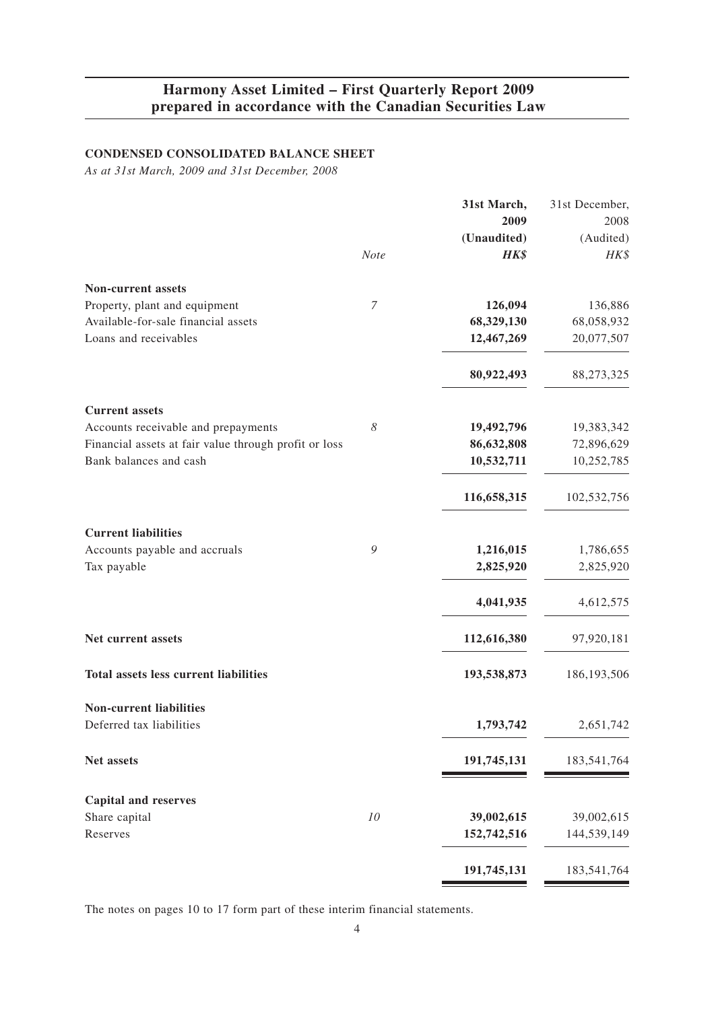## **CONDENSED CONSOLIDATED BALANCE SHEET**

*As at 31st March, 2009 and 31st December, 2008*

|                                                       |                  | 31st March, | 31st December, |
|-------------------------------------------------------|------------------|-------------|----------------|
|                                                       |                  | 2009        | 2008           |
|                                                       |                  | (Unaudited) | (Audited)      |
|                                                       | Note             | HK\$        | HK\$           |
| <b>Non-current assets</b>                             |                  |             |                |
| Property, plant and equipment                         | $\boldsymbol{7}$ | 126,094     | 136,886        |
| Available-for-sale financial assets                   |                  | 68,329,130  | 68,058,932     |
| Loans and receivables                                 |                  | 12,467,269  | 20,077,507     |
|                                                       |                  | 80,922,493  | 88,273,325     |
| <b>Current</b> assets                                 |                  |             |                |
| Accounts receivable and prepayments                   | 8                | 19,492,796  | 19,383,342     |
| Financial assets at fair value through profit or loss |                  | 86,632,808  | 72,896,629     |
| Bank balances and cash                                |                  | 10,532,711  | 10,252,785     |
|                                                       |                  | 116,658,315 | 102,532,756    |
| <b>Current liabilities</b>                            |                  |             |                |
| Accounts payable and accruals                         | 9                | 1,216,015   | 1,786,655      |
| Tax payable                                           |                  | 2,825,920   | 2,825,920      |
|                                                       |                  | 4,041,935   | 4,612,575      |
| Net current assets                                    |                  | 112,616,380 | 97,920,181     |
| <b>Total assets less current liabilities</b>          |                  | 193,538,873 | 186, 193, 506  |
| <b>Non-current liabilities</b>                        |                  |             |                |
| Deferred tax liabilities                              |                  | 1,793,742   | 2,651,742      |
| Net assets                                            |                  | 191,745,131 | 183,541,764    |
| <b>Capital and reserves</b>                           |                  |             |                |
| Share capital                                         | 10               | 39,002,615  | 39,002,615     |
| Reserves                                              |                  | 152,742,516 | 144,539,149    |
|                                                       |                  |             | 183,541,764    |
|                                                       |                  | 191,745,131 |                |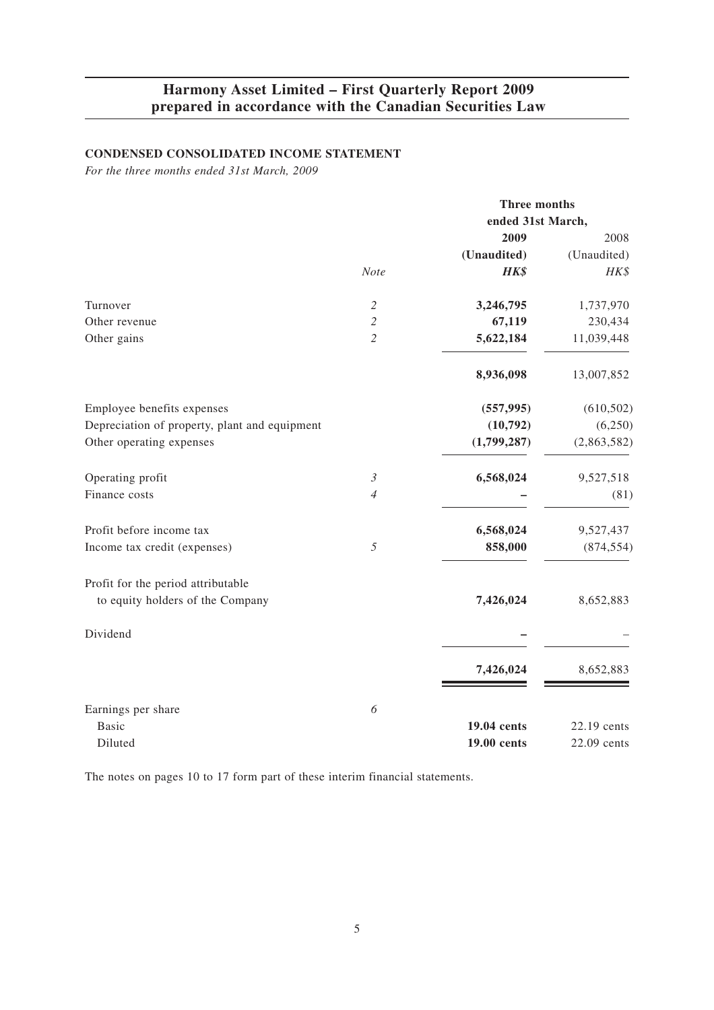## **CONDENSED CONSOLIDATED INCOME STATEMENT**

*For the three months ended 31st March, 2009*

|                                               |                | Three months      |             |
|-----------------------------------------------|----------------|-------------------|-------------|
|                                               |                | ended 31st March, |             |
|                                               |                | 2009              | 2008        |
|                                               |                | (Unaudited)       | (Unaudited) |
|                                               | <b>Note</b>    | HK\$              | HK\$        |
| Turnover                                      | 2              | 3,246,795         | 1,737,970   |
| Other revenue                                 | $\mathfrak{2}$ | 67,119            | 230,434     |
| Other gains                                   | $\overline{2}$ | 5,622,184         | 11,039,448  |
|                                               |                | 8,936,098         | 13,007,852  |
| Employee benefits expenses                    |                | (557, 995)        | (610, 502)  |
| Depreciation of property, plant and equipment |                | (10, 792)         | (6,250)     |
| Other operating expenses                      |                | (1,799,287)       | (2,863,582) |
| Operating profit                              | $\mathfrak{Z}$ | 6,568,024         | 9,527,518   |
| Finance costs                                 | $\overline{4}$ |                   | (81)        |
| Profit before income tax                      |                | 6,568,024         | 9,527,437   |
| Income tax credit (expenses)                  | 5              | 858,000           | (874, 554)  |
| Profit for the period attributable            |                |                   |             |
| to equity holders of the Company              |                | 7,426,024         | 8,652,883   |
| Dividend                                      |                |                   |             |
|                                               |                | 7,426,024         | 8,652,883   |
|                                               |                |                   |             |
| Earnings per share<br><b>Basic</b>            | 6              | 19.04 cents       | 22.19 cents |
| Diluted                                       |                | 19.00 cents       | 22.09 cents |
|                                               |                |                   |             |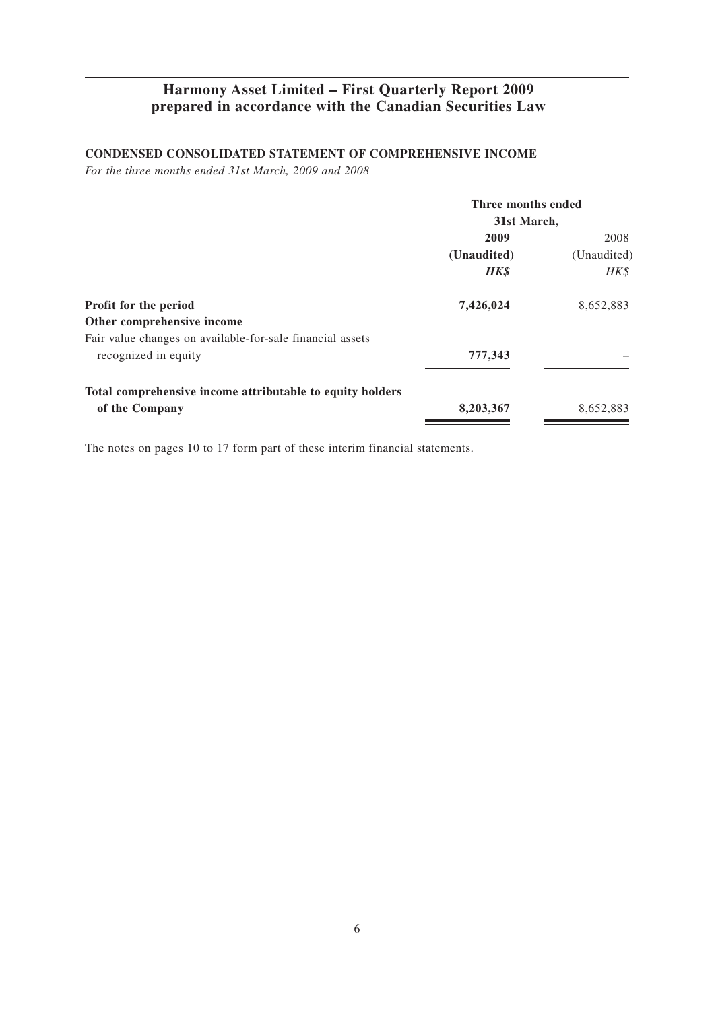## **CONDENSED CONSOLIDATED STATEMENT OF COMPREHENSIVE INCOME**

*For the three months ended 31st March, 2009 and 2008*

|                                                           | Three months ended<br>31st March, |             |
|-----------------------------------------------------------|-----------------------------------|-------------|
|                                                           |                                   |             |
|                                                           | 2009                              | 2008        |
|                                                           | (Unaudited)                       | (Unaudited) |
|                                                           | <b>HK\$</b>                       | HK\$        |
| <b>Profit for the period</b>                              | 7,426,024                         | 8,652,883   |
| Other comprehensive income                                |                                   |             |
| Fair value changes on available-for-sale financial assets |                                   |             |
| recognized in equity                                      | 777,343                           |             |
| Total comprehensive income attributable to equity holders |                                   |             |
| of the Company                                            | 8,203,367                         | 8,652,883   |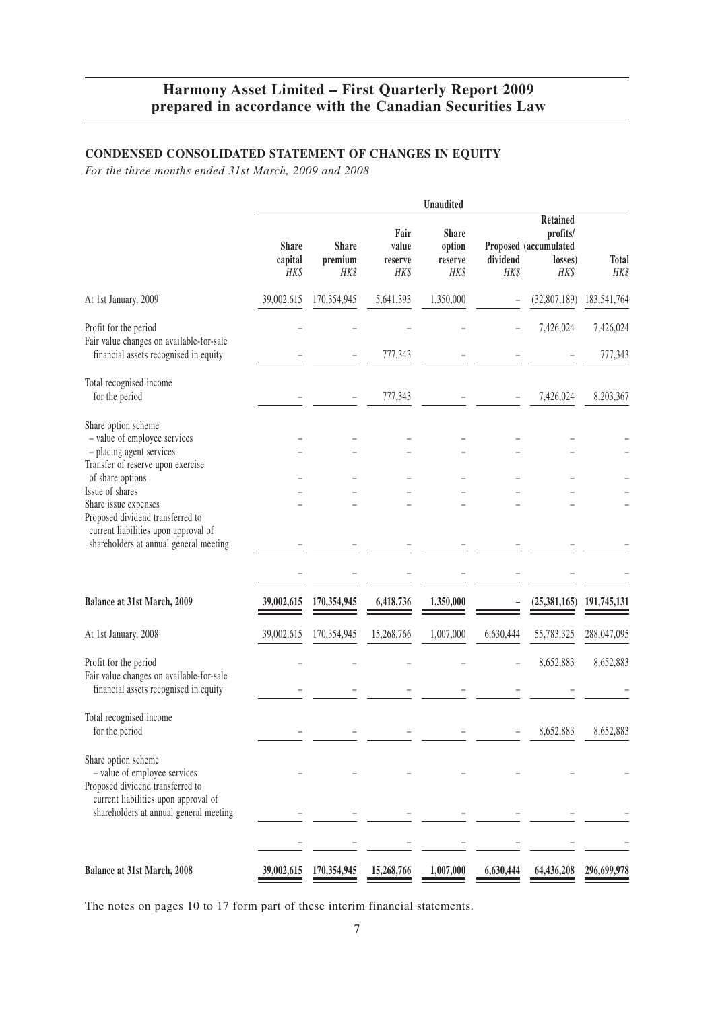## **CONDENSED CONSOLIDATED STATEMENT OF CHANGES IN EQUITY**

*For the three months ended 31st March, 2009 and 2008*

|                                                                                                                                         |                                 |                                 |                                  | <b>Unaudited</b>                          |                  |                                                                         |                      |
|-----------------------------------------------------------------------------------------------------------------------------------------|---------------------------------|---------------------------------|----------------------------------|-------------------------------------------|------------------|-------------------------------------------------------------------------|----------------------|
|                                                                                                                                         | <b>Share</b><br>capital<br>HK\$ | <b>Share</b><br>premium<br>HK\$ | Fair<br>value<br>reserve<br>HK\$ | <b>Share</b><br>option<br>reserve<br>HK\$ | dividend<br>HK\$ | <b>Retained</b><br>profits/<br>Proposed (accumulated<br>losses)<br>HK\$ | <b>Total</b><br>HK\$ |
| At 1st January, 2009                                                                                                                    | 39,002,615                      | 170,354,945                     | 5,641,393                        | 1,350,000                                 |                  | (32,807,189)                                                            | 183,541,764          |
| Profit for the period<br>Fair value changes on available-for-sale<br>financial assets recognised in equity                              |                                 |                                 | 777,343                          |                                           |                  | 7,426,024                                                               | 7,426,024<br>777,343 |
| Total recognised income<br>for the period                                                                                               |                                 |                                 | 777,343                          |                                           |                  | 7,426,024                                                               | 8,203,367            |
| Share option scheme<br>- value of employee services<br>- placing agent services<br>Transfer of reserve upon exercise                    |                                 |                                 |                                  |                                           |                  |                                                                         |                      |
| of share options<br>Issue of shares<br>Share issue expenses<br>Proposed dividend transferred to<br>current liabilities upon approval of |                                 |                                 |                                  |                                           |                  |                                                                         |                      |
| shareholders at annual general meeting                                                                                                  |                                 |                                 |                                  |                                           |                  |                                                                         |                      |
| Balance at 31st March, 2009                                                                                                             | 39,002,615                      | 170,354,945                     | 6,418,736                        | 1,350,000                                 |                  | (25,381,165)                                                            | 191,745,131          |
| At 1st January, 2008                                                                                                                    | 39,002,615                      | 170,354,945                     | 15,268,766                       | 1,007,000                                 | 6,630,444        | 55,783,325                                                              | 288,047,095          |
| Profit for the period<br>Fair value changes on available-for-sale<br>financial assets recognised in equity                              |                                 |                                 |                                  |                                           |                  | 8,652,883                                                               | 8,652,883            |
| Total recognised income<br>for the period                                                                                               |                                 |                                 |                                  |                                           |                  | 8,652,883                                                               | 8,652,883            |
| Share option scheme<br>- value of employee services<br>Proposed dividend transferred to<br>current liabilities upon approval of         |                                 |                                 |                                  |                                           |                  |                                                                         |                      |
| shareholders at annual general meeting                                                                                                  |                                 |                                 |                                  |                                           |                  |                                                                         |                      |
| Balance at 31st March, 2008                                                                                                             | 39,002,615                      | 170,354,945                     | 15,268,766                       | 1,007,000                                 | 6,630,444        | 64,436,208                                                              | 296,699,978          |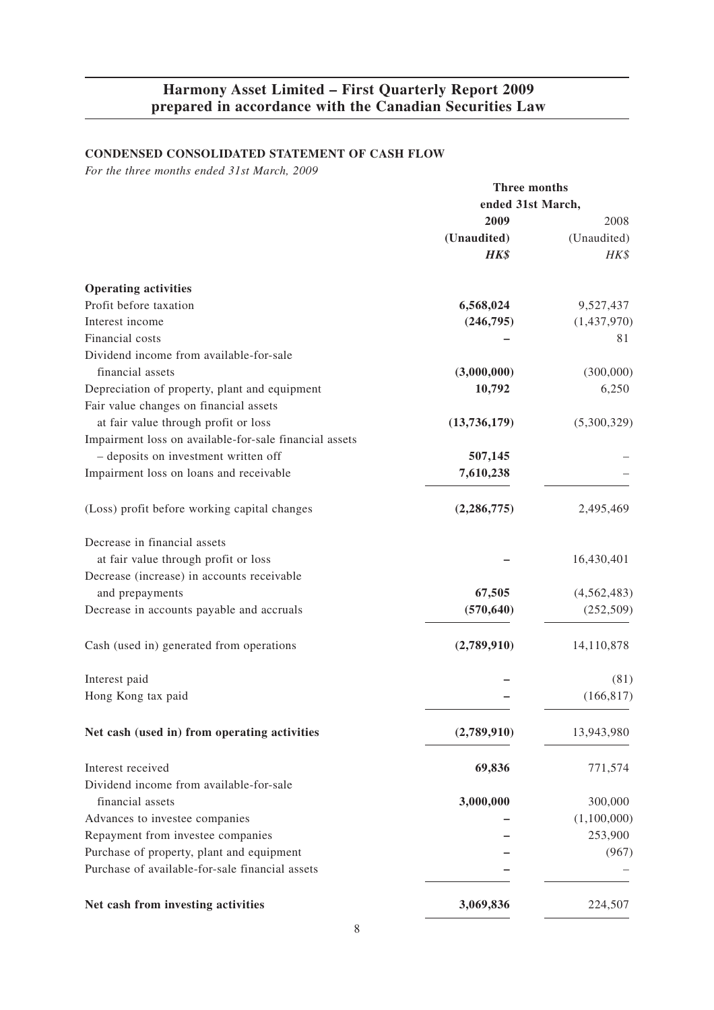## **CONDENSED CONSOLIDATED STATEMENT OF CASH FLOW**

*For the three months ended 31st March, 2009*

|                                                        | Three months      |               |
|--------------------------------------------------------|-------------------|---------------|
|                                                        | ended 31st March, |               |
|                                                        | 2009              | 2008          |
|                                                        | (Unaudited)       | (Unaudited)   |
|                                                        | <b>HK\$</b>       | HK\$          |
| <b>Operating activities</b>                            |                   |               |
| Profit before taxation                                 | 6,568,024         | 9,527,437     |
| Interest income                                        | (246,795)         | (1,437,970)   |
| Financial costs                                        |                   | 81            |
| Dividend income from available-for-sale                |                   |               |
| financial assets                                       | (3,000,000)       | (300,000)     |
| Depreciation of property, plant and equipment          | 10,792            | 6,250         |
| Fair value changes on financial assets                 |                   |               |
| at fair value through profit or loss                   | (13,736,179)      | (5,300,329)   |
| Impairment loss on available-for-sale financial assets |                   |               |
| - deposits on investment written off                   | 507,145           |               |
| Impairment loss on loans and receivable                | 7,610,238         |               |
| (Loss) profit before working capital changes           | (2, 286, 775)     | 2,495,469     |
| Decrease in financial assets                           |                   |               |
| at fair value through profit or loss                   |                   | 16,430,401    |
| Decrease (increase) in accounts receivable             |                   |               |
| and prepayments                                        | 67,505            | (4, 562, 483) |
| Decrease in accounts payable and accruals              | (570, 640)        | (252, 509)    |
| Cash (used in) generated from operations               | (2,789,910)       | 14,110,878    |
| Interest paid                                          |                   | (81)          |
| Hong Kong tax paid                                     |                   | (166, 817)    |
| Net cash (used in) from operating activities           | (2,789,910)       | 13,943,980    |
| Interest received                                      | 69,836            | 771,574       |
| Dividend income from available-for-sale                |                   |               |
| financial assets                                       | 3,000,000         | 300,000       |
| Advances to investee companies                         |                   | (1,100,000)   |
| Repayment from investee companies                      |                   | 253,900       |
| Purchase of property, plant and equipment              |                   | (967)         |
| Purchase of available-for-sale financial assets        |                   |               |
| Net cash from investing activities                     | 3,069,836         | 224,507       |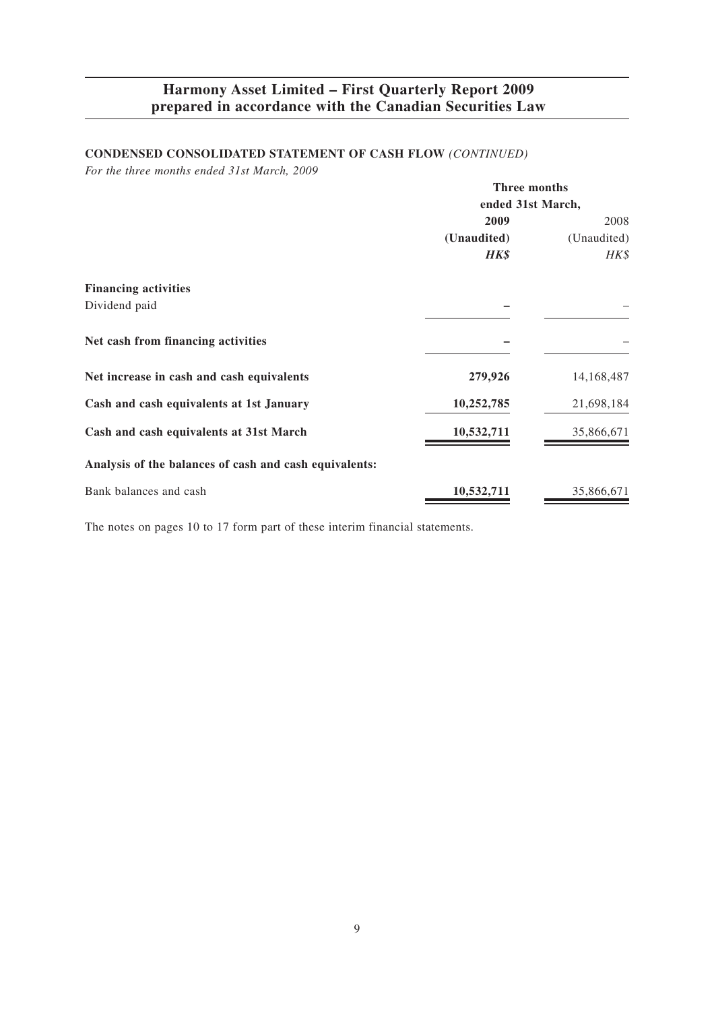## **CONDENSED CONSOLIDATED STATEMENT OF CASH FLOW** *(CONTINUED)*

*For the three months ended 31st March, 2009*

|                                                        | Three months      |             |
|--------------------------------------------------------|-------------------|-------------|
|                                                        | ended 31st March, |             |
|                                                        | 2009              | 2008        |
|                                                        | (Unaudited)       | (Unaudited) |
|                                                        | <b>HK\$</b>       | HK\$        |
| <b>Financing activities</b>                            |                   |             |
| Dividend paid                                          |                   |             |
| Net cash from financing activities                     |                   |             |
| Net increase in cash and cash equivalents              | 279,926           | 14,168,487  |
| Cash and cash equivalents at 1st January               | 10,252,785        | 21,698,184  |
| Cash and cash equivalents at 31st March                | 10,532,711        | 35,866,671  |
| Analysis of the balances of cash and cash equivalents: |                   |             |
| Bank balances and cash                                 | 10,532,711        | 35,866,671  |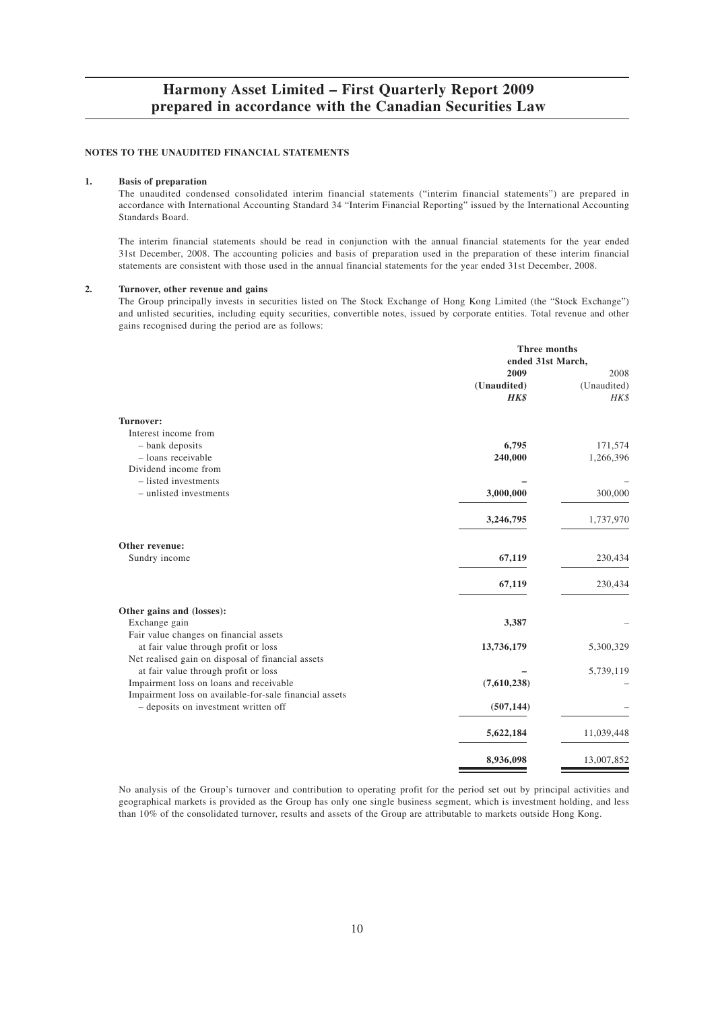#### **NOTES TO THE UNAUDITED FINANCIAL STATEMENTS**

#### **1. Basis of preparation**

The unaudited condensed consolidated interim financial statements ("interim financial statements") are prepared in accordance with International Accounting Standard 34 "Interim Financial Reporting" issued by the International Accounting Standards Board.

The interim financial statements should be read in conjunction with the annual financial statements for the year ended 31st December, 2008. The accounting policies and basis of preparation used in the preparation of these interim financial statements are consistent with those used in the annual financial statements for the year ended 31st December, 2008.

#### **2. Turnover, other revenue and gains**

The Group principally invests in securities listed on The Stock Exchange of Hong Kong Limited (the "Stock Exchange") and unlisted securities, including equity securities, convertible notes, issued by corporate entities. Total revenue and other gains recognised during the period are as follows:

|                                                                                                                                           | <b>Three months</b>         |                             |
|-------------------------------------------------------------------------------------------------------------------------------------------|-----------------------------|-----------------------------|
|                                                                                                                                           | ended 31st March,           |                             |
|                                                                                                                                           | 2009<br>(Unaudited)<br>HK\$ | 2008<br>(Unaudited)<br>HK\$ |
| Turnover:<br>Interest income from<br>- bank deposits<br>- loans receivable                                                                | 6,795<br>240,000            | 171,574<br>1,266,396        |
| Dividend income from<br>$-$ listed investments<br>- unlisted investments                                                                  | 3,000,000                   | 300,000                     |
|                                                                                                                                           | 3,246,795                   | 1,737,970                   |
| Other revenue:<br>Sundry income                                                                                                           | 67,119                      | 230,434                     |
|                                                                                                                                           | 67,119                      | 230,434                     |
| Other gains and (losses):<br>Exchange gain                                                                                                | 3,387                       |                             |
| Fair value changes on financial assets<br>at fair value through profit or loss<br>Net realised gain on disposal of financial assets       | 13,736,179                  | 5,300,329                   |
| at fair value through profit or loss<br>Impairment loss on loans and receivable<br>Impairment loss on available-for-sale financial assets | (7,610,238)                 | 5,739,119                   |
| - deposits on investment written off                                                                                                      | (507, 144)                  |                             |
|                                                                                                                                           | 5,622,184                   | 11,039,448                  |
|                                                                                                                                           | 8,936,098                   | 13,007,852                  |

No analysis of the Group's turnover and contribution to operating profit for the period set out by principal activities and geographical markets is provided as the Group has only one single business segment, which is investment holding, and less than 10% of the consolidated turnover, results and assets of the Group are attributable to markets outside Hong Kong.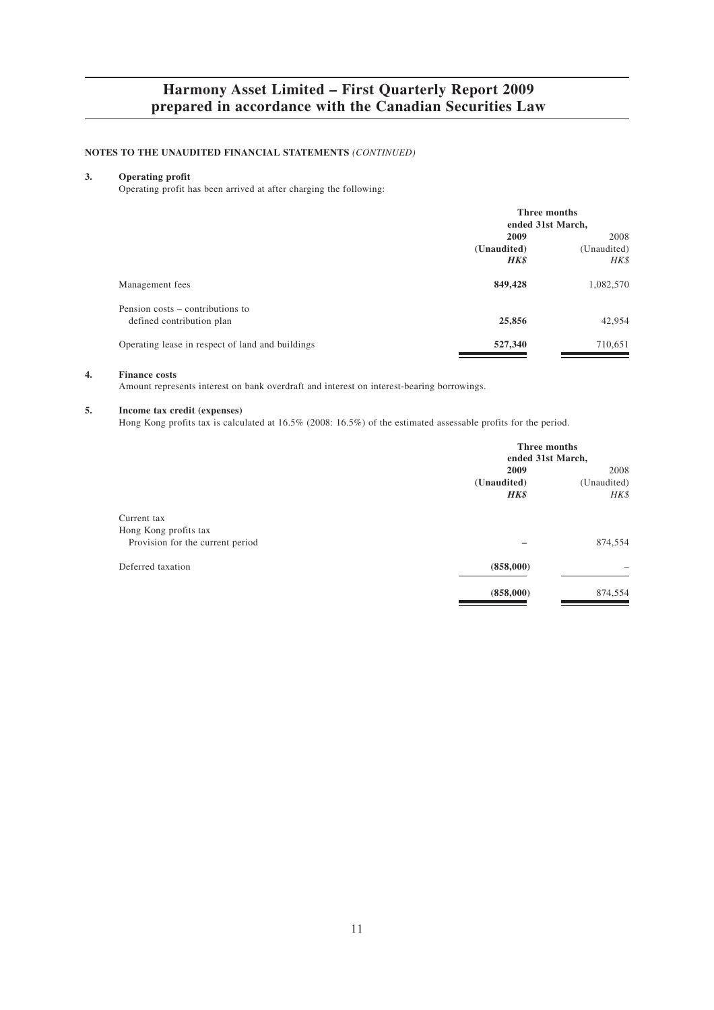#### **NOTES TO THE UNAUDITED FINANCIAL STATEMENTS** *(CONTINUED)*

## **3. Operating profit**

Operating profit has been arrived at after charging the following:

|                                                               | Three months<br>ended 31st March, |             |
|---------------------------------------------------------------|-----------------------------------|-------------|
|                                                               | 2009                              | 2008        |
|                                                               | (Unaudited)                       | (Unaudited) |
|                                                               | HK\$                              | HK\$        |
| Management fees                                               | 849,428                           | 1,082,570   |
| Pension costs – contributions to<br>defined contribution plan | 25,856                            | 42,954      |
| Operating lease in respect of land and buildings              | 527,340                           | 710,651     |

#### **4. Finance costs**

Amount represents interest on bank overdraft and interest on interest-bearing borrowings.

#### **5. Income tax credit (expenses)**

Hong Kong profits tax is calculated at 16.5% (2008: 16.5%) of the estimated assessable profits for the period.

|                                  | Three months      |             |
|----------------------------------|-------------------|-------------|
|                                  | ended 31st March, |             |
|                                  | 2009              | 2008        |
|                                  | (Unaudited)       | (Unaudited) |
|                                  | HK\$              | HK\$        |
| Current tax                      |                   |             |
| Hong Kong profits tax            |                   |             |
| Provision for the current period |                   | 874,554     |
| Deferred taxation                | (858,000)         |             |
|                                  | (858,000)         | 874,554     |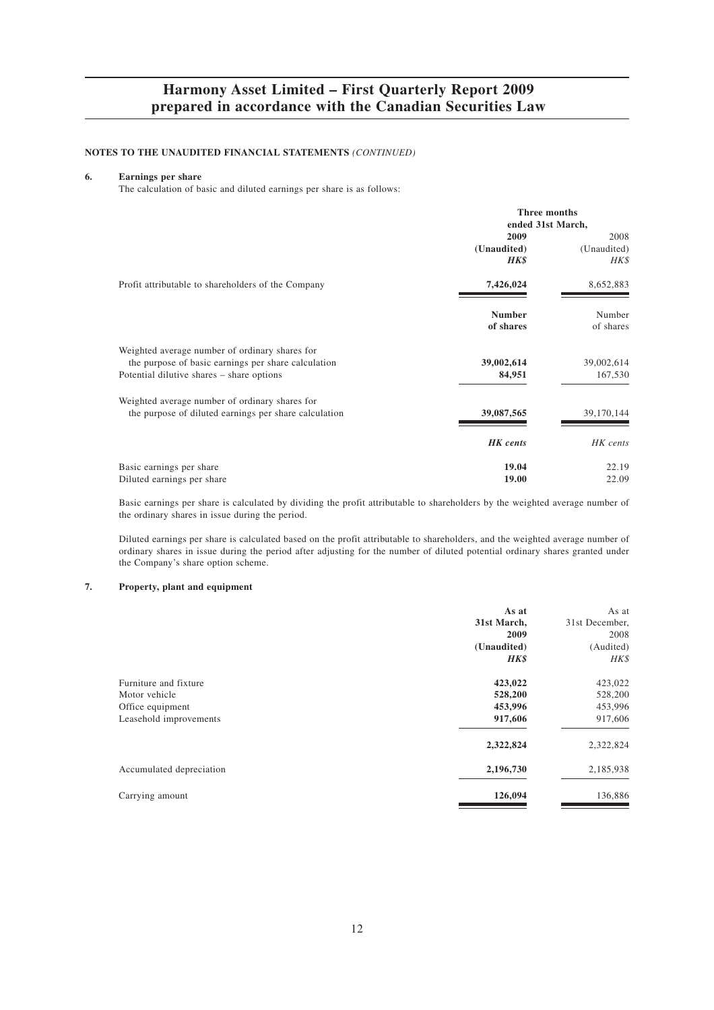#### **NOTES TO THE UNAUDITED FINANCIAL STATEMENTS** *(CONTINUED)*

### **6. Earnings per share**

The calculation of basic and diluted earnings per share is as follows:

|                                                       | Three months<br>ended 31st March, |             |
|-------------------------------------------------------|-----------------------------------|-------------|
|                                                       | 2009                              | 2008        |
|                                                       | (Unaudited)                       | (Unaudited) |
|                                                       | HK\$                              | HK\$        |
| Profit attributable to shareholders of the Company    | 7,426,024                         | 8,652,883   |
|                                                       | <b>Number</b>                     | Number      |
|                                                       | of shares                         | of shares   |
| Weighted average number of ordinary shares for        |                                   |             |
| the purpose of basic earnings per share calculation   | 39,002,614                        | 39,002,614  |
| Potential dilutive shares – share options             | 84,951                            | 167,530     |
| Weighted average number of ordinary shares for        |                                   |             |
| the purpose of diluted earnings per share calculation | 39,087,565                        | 39,170,144  |
|                                                       | <b>HK</b> cents                   | HK cents    |
| Basic earnings per share                              | 19.04                             | 22.19       |
| Diluted earnings per share                            | 19.00                             | 22.09       |

Basic earnings per share is calculated by dividing the profit attributable to shareholders by the weighted average number of the ordinary shares in issue during the period.

Diluted earnings per share is calculated based on the profit attributable to shareholders, and the weighted average number of ordinary shares in issue during the period after adjusting for the number of diluted potential ordinary shares granted under the Company's share option scheme.

### **7. Property, plant and equipment**

|                                                                                      | As at<br>31st March,<br>2009<br>(Unaudited)<br>HK\$ | As at<br>31st December,<br>2008<br>(Audited)<br>HK\$ |
|--------------------------------------------------------------------------------------|-----------------------------------------------------|------------------------------------------------------|
| Furniture and fixture<br>Motor vehicle<br>Office equipment<br>Leasehold improvements | 423,022<br>528,200<br>453,996<br>917,606            | 423,022<br>528,200<br>453,996<br>917,606             |
|                                                                                      | 2,322,824                                           | 2,322,824                                            |
| Accumulated depreciation                                                             | 2,196,730                                           | 2,185,938                                            |
| Carrying amount                                                                      | 126,094                                             | 136,886                                              |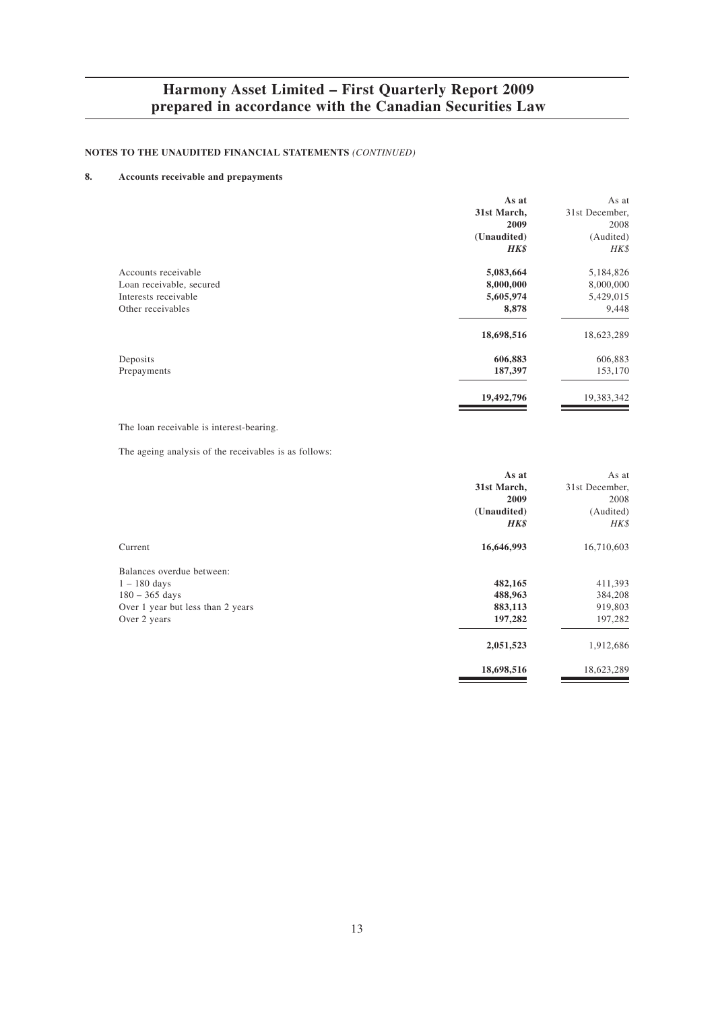### **NOTES TO THE UNAUDITED FINANCIAL STATEMENTS** *(CONTINUED)*

## **8. Accounts receivable and prepayments**

| As at                                 | As at          |
|---------------------------------------|----------------|
| 31st March,                           | 31st December, |
| 2009                                  | 2008           |
| (Unaudited)                           | (Audited)      |
| <b>HK\$</b>                           | HK\$           |
| Accounts receivable<br>5,083,664      | 5,184,826      |
| 8,000,000<br>Loan receivable, secured | 8,000,000      |
| 5,605,974<br>Interests receivable     | 5,429,015      |
| 8,878<br>Other receivables            | 9,448          |
| 18,698,516                            | 18,623,289     |
| 606,883<br>Deposits                   | 606,883        |
| 187,397<br>Prepayments                | 153,170        |
| 19,492,796                            | 19,383,342     |

The loan receivable is interest-bearing.

The ageing analysis of the receivables is as follows:

|                                   | As at       | As at          |
|-----------------------------------|-------------|----------------|
|                                   | 31st March, | 31st December, |
|                                   | 2009        | 2008           |
|                                   | (Unaudited) | (Audited)      |
|                                   | HK\$        | HK\$           |
| Current                           | 16,646,993  | 16,710,603     |
| Balances overdue between:         |             |                |
| $1 - 180$ days                    | 482,165     | 411,393        |
| $180 - 365$ days                  | 488,963     | 384,208        |
| Over 1 year but less than 2 years | 883,113     | 919,803        |
| Over 2 years                      | 197,282     | 197,282        |
|                                   | 2,051,523   | 1,912,686      |
|                                   | 18,698,516  | 18,623,289     |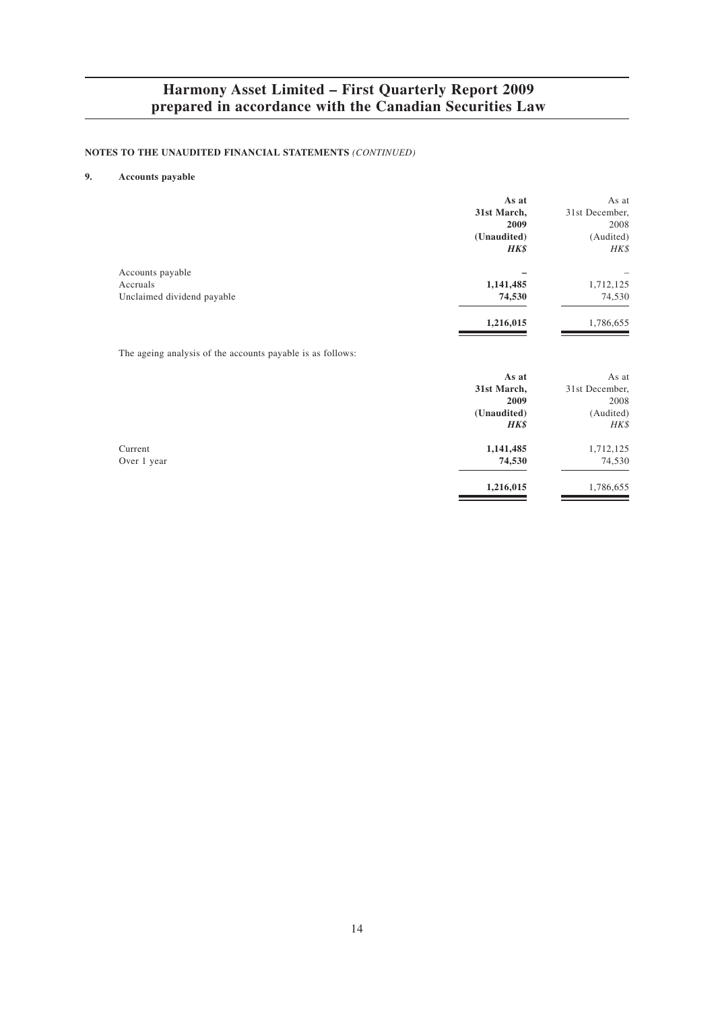### **NOTES TO THE UNAUDITED FINANCIAL STATEMENTS** *(CONTINUED)*

## **9. Accounts payable**

|                                                            | As at       | As at          |
|------------------------------------------------------------|-------------|----------------|
|                                                            | 31st March, | 31st December, |
|                                                            | 2009        | 2008           |
|                                                            | (Unaudited) | (Audited)      |
|                                                            | HK\$        | HK\$           |
| Accounts payable                                           |             |                |
| Accruals                                                   | 1,141,485   | 1,712,125      |
| Unclaimed dividend payable                                 | 74,530      | 74,530         |
|                                                            | 1,216,015   | 1,786,655      |
| The ageing analysis of the accounts payable is as follows: |             |                |
|                                                            | As at       | As at          |
|                                                            | 31st March, | 31st December, |
|                                                            | 2009        | 2008           |
|                                                            | (Unaudited) | (Audited)      |
|                                                            | HK\$        | HK\$           |

**1,216,015** 1,786,655

Current **1,141,485** 1,712,125 Over 1 year **74,530** 74,530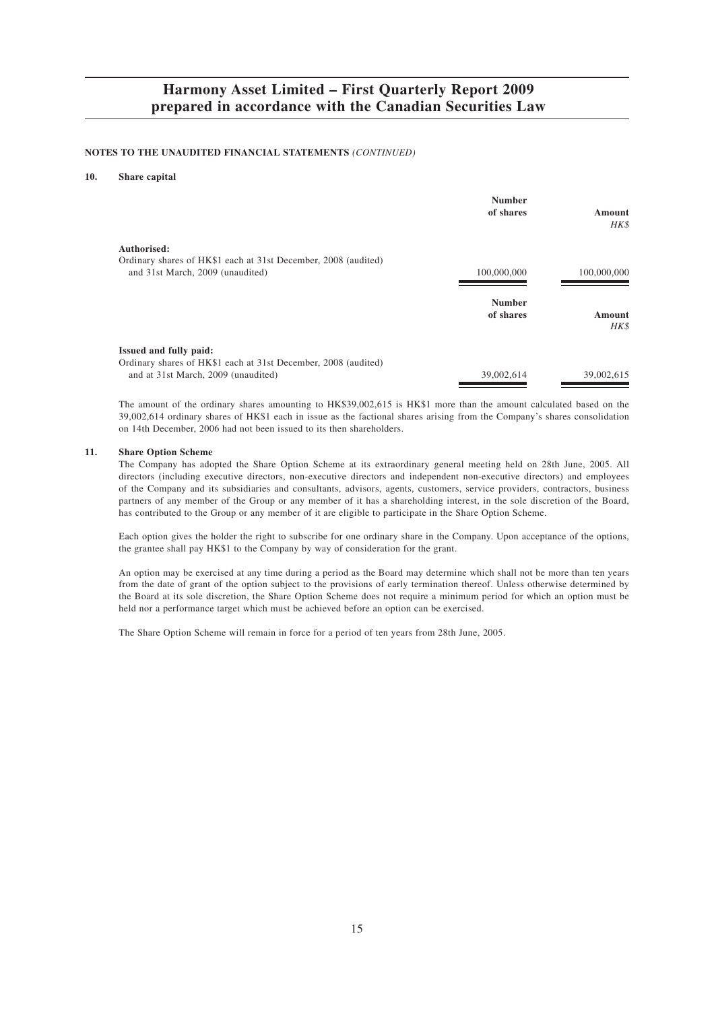#### **NOTES TO THE UNAUDITED FINANCIAL STATEMENTS** *(CONTINUED)*

#### **10. Share capital**

|                                                                                                                                        | <b>Number</b><br>of shares | Amount<br>HK\$ |
|----------------------------------------------------------------------------------------------------------------------------------------|----------------------------|----------------|
| Authorised:<br>Ordinary shares of HK\$1 each at 31st December, 2008 (audited)<br>and 31st March, 2009 (unaudited)                      | 100,000,000                | 100,000,000    |
|                                                                                                                                        | <b>Number</b><br>of shares | Amount<br>HK\$ |
| <b>Issued and fully paid:</b><br>Ordinary shares of HK\$1 each at 31st December, 2008 (audited)<br>and at 31st March, 2009 (unaudited) | 39,002,614                 | 39,002,615     |

The amount of the ordinary shares amounting to HK\$39,002,615 is HK\$1 more than the amount calculated based on the 39,002,614 ordinary shares of HK\$1 each in issue as the factional shares arising from the Company's shares consolidation on 14th December, 2006 had not been issued to its then shareholders.

#### **11. Share Option Scheme**

The Company has adopted the Share Option Scheme at its extraordinary general meeting held on 28th June, 2005. All directors (including executive directors, non-executive directors and independent non-executive directors) and employees of the Company and its subsidiaries and consultants, advisors, agents, customers, service providers, contractors, business partners of any member of the Group or any member of it has a shareholding interest, in the sole discretion of the Board, has contributed to the Group or any member of it are eligible to participate in the Share Option Scheme.

Each option gives the holder the right to subscribe for one ordinary share in the Company. Upon acceptance of the options, the grantee shall pay HK\$1 to the Company by way of consideration for the grant.

An option may be exercised at any time during a period as the Board may determine which shall not be more than ten years from the date of grant of the option subject to the provisions of early termination thereof. Unless otherwise determined by the Board at its sole discretion, the Share Option Scheme does not require a minimum period for which an option must be held nor a performance target which must be achieved before an option can be exercised.

The Share Option Scheme will remain in force for a period of ten years from 28th June, 2005.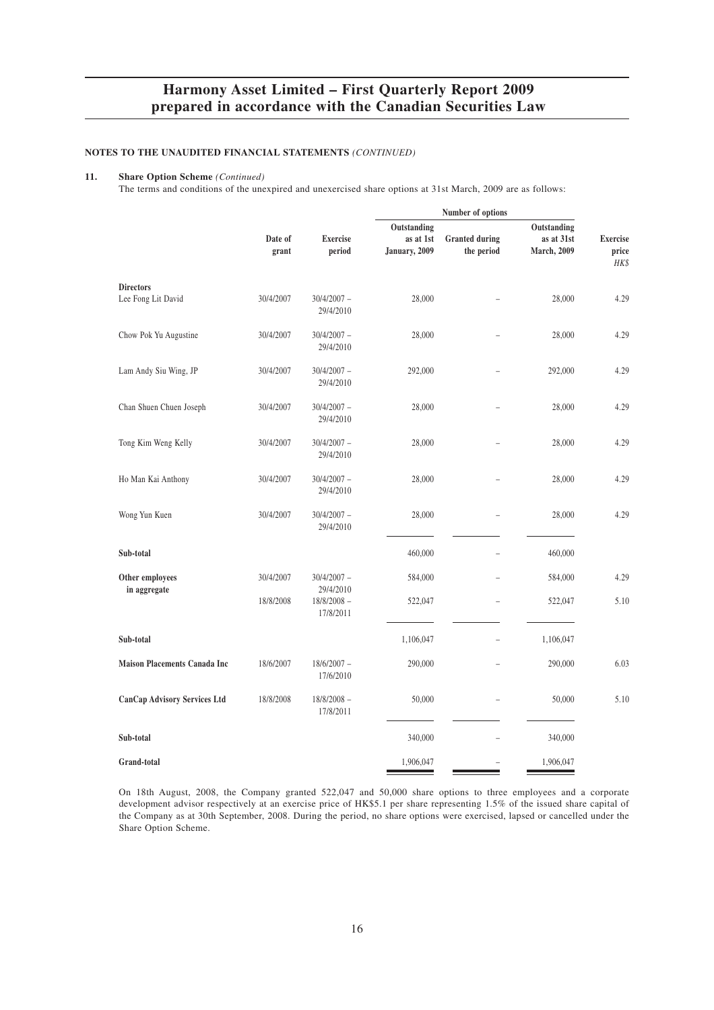#### **NOTES TO THE UNAUDITED FINANCIAL STATEMENTS** *(CONTINUED)*

#### **11. Share Option Scheme** *(Continued)*

The terms and conditions of the unexpired and unexercised share options at 31st March, 2009 are as follows:

|                                        | Number of options |                            |                            |                                     |                                   |                                  |
|----------------------------------------|-------------------|----------------------------|----------------------------|-------------------------------------|-----------------------------------|----------------------------------|
|                                        |                   |                            | Outstanding                |                                     | Outstanding                       |                                  |
|                                        | Date of<br>grant  | <b>Exercise</b><br>period  | as at 1st<br>January, 2009 | <b>Granted during</b><br>the period | as at 31st<br><b>March</b> , 2009 | <b>Exercise</b><br>price<br>HK\$ |
| <b>Directors</b><br>Lee Fong Lit David | 30/4/2007         | $30/4/2007 -$              | 28,000                     |                                     | 28,000                            | 4.29                             |
|                                        |                   | 29/4/2010                  |                            |                                     |                                   |                                  |
| Chow Pok Yu Augustine                  | 30/4/2007         | $30/4/2007 -$<br>29/4/2010 | 28,000                     |                                     | 28,000                            | 4.29                             |
| Lam Andy Siu Wing, JP                  | 30/4/2007         | $30/4/2007 -$<br>29/4/2010 | 292,000                    |                                     | 292,000                           | 4.29                             |
| Chan Shuen Chuen Joseph                | 30/4/2007         | $30/4/2007 -$<br>29/4/2010 | 28,000                     |                                     | 28,000                            | 4.29                             |
| Tong Kim Weng Kelly                    | 30/4/2007         | $30/4/2007 -$<br>29/4/2010 | 28,000                     |                                     | 28,000                            | 4.29                             |
| Ho Man Kai Anthony                     | 30/4/2007         | $30/4/2007 -$<br>29/4/2010 | 28,000                     |                                     | 28,000                            | 4.29                             |
| Wong Yun Kuen                          | 30/4/2007         | $30/4/2007 -$<br>29/4/2010 | 28,000                     | $\overline{\phantom{0}}$            | 28,000                            | 4.29                             |
| Sub-total                              |                   |                            | 460,000                    | $\overline{a}$                      | 460,000                           |                                  |
| Other employees<br>in aggregate        | 30/4/2007         | $30/4/2007 -$<br>29/4/2010 | 584,000                    | $\overline{\phantom{0}}$            | 584,000                           | 4.29                             |
|                                        | 18/8/2008         | $18/8/2008 -$<br>17/8/2011 | 522,047                    |                                     | 522,047                           | 5.10                             |
| Sub-total                              |                   |                            | 1,106,047                  | $\overline{\phantom{0}}$            | 1,106,047                         |                                  |
| <b>Maison Placements Canada Inc</b>    | 18/6/2007         | $18/6/2007 -$<br>17/6/2010 | 290,000                    |                                     | 290,000                           | 6.03                             |
| CanCap Advisory Services Ltd           | 18/8/2008         | $18/8/2008 -$<br>17/8/2011 | 50,000                     |                                     | 50,000                            | 5.10                             |
| Sub-total                              |                   |                            | 340,000                    |                                     | 340,000                           |                                  |
| <b>Grand-total</b>                     |                   |                            | 1,906,047                  |                                     | 1,906,047                         |                                  |

On 18th August, 2008, the Company granted 522,047 and 50,000 share options to three employees and a corporate development advisor respectively at an exercise price of HK\$5.1 per share representing 1.5% of the issued share capital of the Company as at 30th September, 2008. During the period, no share options were exercised, lapsed or cancelled under the Share Option Scheme.